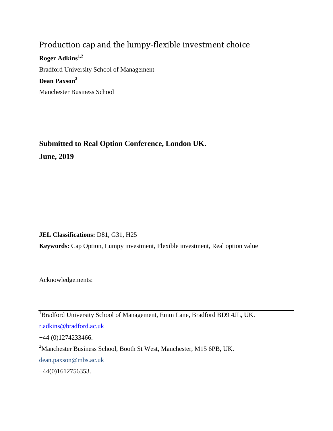# Production cap and the lumpy-flexible investment choice

**Roger Adkins1,2** Bradford University School of Management **Dean Paxson<sup>2</sup>** Manchester Business School

# **Submitted to Real Option Conference, London UK. June, 2019**

**JEL Classifications:** D81, G31, H25

**Keywords:** Cap Option, Lumpy investment, Flexible investment, Real option value

Acknowledgements:

<sup>1</sup>Bradford University School of Management, Emm Lane, Bradford BD9 4JL, UK. [r.adkins@bradford.ac.uk](mailto:r.adkins@bradford.ac.uk)

+44 (0)1274233466.

<sup>2</sup>Manchester Business School, Booth St West, Manchester, M15 6PB, UK.

dean.paxson@mbs.ac.uk

<span id="page-0-0"></span>+44(0)1612756353.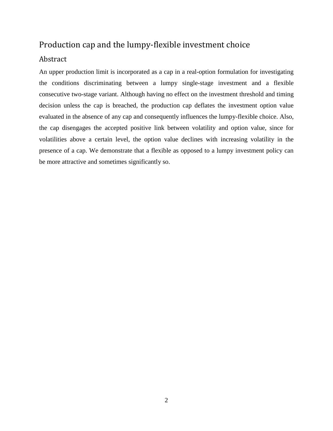## Production cap and the lumpy-flexible investment choice

## Abstract

An upper production limit is incorporated as a cap in a real-option formulation for investigating the conditions discriminating between a lumpy single-stage investment and a flexible consecutive two-stage variant. Although having no effect on the investment threshold and timing decision unless the cap is breached, the production cap deflates the investment option value evaluated in the absence of any cap and consequently influences the lumpy-flexible choice. Also, the cap disengages the accepted positive link between volatility and option value, since for volatilities above a certain level, the option value declines with increasing volatility in the presence of a cap. We demonstrate that a flexible as opposed to a lumpy investment policy can be more attractive and sometimes significantly so.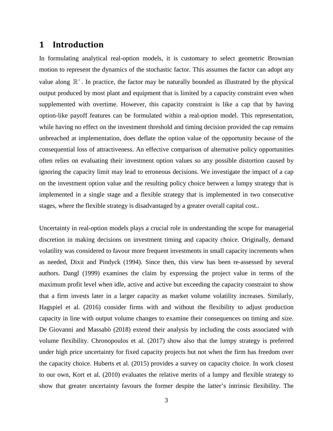## **1 Introduction**

In formulating analytical real-option models, it is customary to select geometric Brownian motion to represent the dynamics of the stochastic factor. This assumes the factor can adopt any value along  $\mathbb{R}^+$ . In practice, the factor may be naturally bounded as illustrated by the physical output produced by most plant and equipment that is limited by a capacity constraint even when supplemented with overtime. However, this capacity constraint is like a cap that by having option-like payoff features can be formulated within a real-option model. This representation, while having no effect on the investment threshold and timing decision provided the cap remains unbreached at implementation, does deflate the option value of the opportunity because of the consequential loss of attractiveness. An effective comparison of alternative policy opportunities often relies on evaluating their investment option values so any possible distortion caused by ignoring the capacity limit may lead to erroneous decisions. We investigate the impact of a cap on the investment option value and the resulting policy choice between a lumpy strategy that is implemented in a single stage and a flexible strategy that is implemented in two consecutive stages, where the flexible strategy is disadvantaged by a greater overall capital cost..

Uncertainty in real-option models plays a crucial role in understanding the scope for managerial discretion in making decisions on investment timing and capacity choice. Originally, demand volatility was considered to favour more frequent investments in small capacity increments when as needed, [Dixit and Pindyck \(1994\)](#page-41-0). Since then, this view has been re-assessed by several authors. [Dangl \(1999\)](#page-41-1) examines the claim by expressing the project value in terms of the maximum profit level when idle, active and active but exceeding the capacity constraint to show that a firm invests later in a larger capacity as market volume volatility increases. Similarly, [Hagspiel et al. \(2016\)](#page-41-2) consider firms with and without the flexibility to adjust production capacity in line with output volume changes to examine their consequences on timing and size. [De Giovanni and Massabò \(2018\)](#page-41-3) extend their analysis by including the costs associated with volume flexibility. [Chronopoulos et al. \(2017\)](#page-41-4) show also that the lumpy strategy is preferred under high price uncertainty for fixed capacity projects but not when the firm has freedom over the capacity choice. [Huberts et al. \(2015\)](#page-41-5) provides a survey on capacity choice. In work closest to our own, Kort [et al. \(2010\)](#page-41-6) evaluates the relative merits of a lumpy and flexible strategy to show that greater uncertainty favours the former despite the latter's intrinsic flexibility. The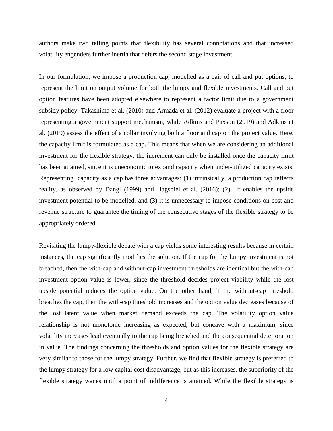authors make two telling points that flexibility has several connotations and that increased volatility engenders further inertia that defers the second stage investment.

In our formulation, we impose a production cap, modelled as a pair of call and put options, to represent the limit on output volume for both the lumpy and flexible investments. Call and put option features have been adopted elsewhere to represent a factor limit due to a government subsidy policy. [Takashima et al. \(2010\)](#page-41-7) and [Armada et al. \(2012\)](#page-41-8) evaluate a project with a floor representing a government support mechanism, while [Adkins and Paxson \(2019\)](#page-41-9) and [Adkins et](#page-41-10)  [al. \(2019\)](#page-41-10) assess the effect of a collar involving both a floor and cap on the project value. Here, the capacity limit is formulated as a cap. This means that when we are considering an additional investment for the flexible strategy, the increment can only be installed once the capacity limit has been attained, since it is uneconomic to expand capacity when under-utilized capacity exists. Representing capacity as a cap has three advantages: (1) intrinsically, a production cap reflects reality, as observed by [Dangl \(1999\)](#page-41-1) and [Hagspiel et al. \(2016\)](#page-41-2); (2) it enables the upside investment potential to be modelled, and (3) it is unnecessary to impose conditions on cost and revenue structure to guarantee the timing of the consecutive stages of the flexible strategy to be appropriately ordered.

Revisiting the lumpy-flexible debate with a cap yields some interesting results because in certain instances, the cap significantly modifies the solution. If the cap for the lumpy investment is not breached, then the with-cap and without-cap investment thresholds are identical but the with-cap investment option value is lower, since the threshold decides project viability while the lost upside potential reduces the option value. On the other hand, if the without-cap threshold breaches the cap, then the with-cap threshold increases and the option value decreases because of the lost latent value when market demand exceeds the cap. The volatility option value relationship is not monotonic increasing as expected, but concave with a maximum, since volatility increases lead eventually to the cap being breached and the consequential deterioration in value. The findings concerning the thresholds and option values for the flexible strategy are very similar to those for the lumpy strategy. Further, we find that flexible strategy is preferred to the lumpy strategy for a low capital cost disadvantage, but as this increases, the superiority of the flexible strategy wanes until a point of indifference is attained. While the flexible strategy is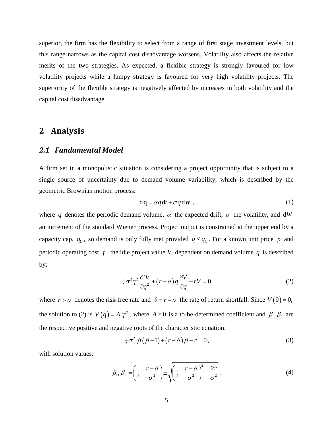superior, the firm has the flexibility to select from a range of first stage investment levels, but this range narrows as the capital cost disadvantage worsens. Volatility also affects the relative merits of the two strategies. As expected, a flexible strategy is strongly favoured for low volatility projects while a lumpy strategy is favoured for very high volatility projects. The superiority of the flexible strategy is negatively affected by increases in both volatility and the capital cost disadvantage.

## **2 Analysis**

### *2.1 Fundamental Model*

A firm set in a monopolistic situation is considering a project opportunity that is subject to a single source of uncertainty due to demand volume variability, which is described by the geometric Brownian motion process:

$$
dq = \alpha q dt + \sigma q dW, \qquad (1)
$$

where q denotes the periodic demand volume,  $\alpha$  the expected drift,  $\sigma$  the volatility, and dW an increment of the standard Wiener process. Project output is constrained at the upper end by a capacity cap,  $q_v$ , so demand is only fully met provided  $q \leq q_v$ . For a known unit price p and periodic operating cost *f* , the idle project value *V* dependent on demand volume *q* is described by:

$$
\frac{1}{2}\sigma^2 q^2 \frac{\partial^2 V}{\partial q^2} + \left(r - \delta\right) q \frac{\partial V}{\partial q} - rV = 0 \tag{2}
$$

where  $r > \alpha$  denotes the risk-free rate and  $\delta = r - \alpha$  the rate of return shortfall. Since  $V(0) = 0$ , the solution to (2) is  $V(q) = A q^{\beta_1}$ , where  $A \ge 0$  is a to-be-determined coefficient and  $\beta_1, \beta_2$  are the respective positive and negative roots of the characteristic equation:

$$
\frac{1}{2}\sigma^2 \beta (\beta - 1) + (r - \delta)\beta - r = 0, \qquad (3)
$$

with solution values:

$$
\beta_1, \beta_2 = \left(\frac{1}{2} - \frac{r - \delta}{\sigma^2}\right) \pm \sqrt{\left(\frac{1}{2} - \frac{r - \delta}{\sigma^2}\right)^2 + \frac{2r}{\sigma^2}},\tag{4}
$$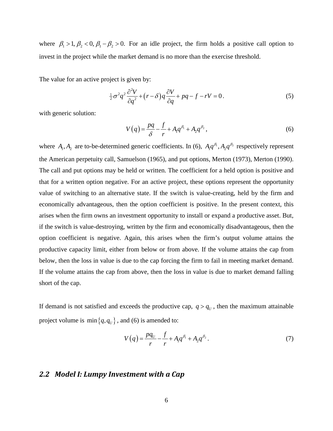where  $\beta_1 > 1$ ,  $\beta_2 < 0$ ,  $\beta_1 - \beta_2 > 0$ . For an idle project, the firm holds a positive call option to invest in the project while the market demand is no more than the exercise threshold.

The value for an active project is given by:

$$
\frac{1}{2}\sigma^2 q^2 \frac{\partial^2 V}{\partial q^2} + (r - \delta) q \frac{\partial V}{\partial q} + pq - f - rV = 0.
$$
 (5)

with generic solution:

$$
V(q) = \frac{pq}{\delta} - \frac{f}{r} + A_1 q^{\beta_1} + A_2 q^{\beta_2},
$$
\n(6)

where  $A_1, A_2$  are to-be-determined generic coefficients. In (6),  $A_1 q^{\beta_1}, A_2 q^{\beta_2}$  respectively represent the American perpetuity call, [Samuelson \(1965\)](#page-41-11), and put options, [Merton \(1973\)](#page-41-12), [Merton \(1990\)](#page-41-13). The call and put options may be held or written. The coefficient for a held option is positive and that for a written option negative. For an active project, these options represent the opportunity value of switching to an alternative state. If the switch is value-creating, held by the firm and economically advantageous, then the option coefficient is positive. In the present context, this arises when the firm owns an investment opportunity to install or expand a productive asset. But, if the switch is value-destroying, written by the firm and economically disadvantageous, then the option coefficient is negative. Again, this arises when the firm's output volume attains the productive capacity limit, either from below or from above. If the volume attains the cap from below, then the loss in value is due to the cap forcing the firm to fail in meeting market demand. If the volume attains the cap from above, then the loss in value is due to market demand falling short of the cap.

If demand is not satisfied and exceeds the productive cap,  $q > q_U$ , then the maximum attainable project volume is  $\min\{q, q_U\}$ , and (6) is amended to:

$$
V(q) = \frac{pq_U}{r} - \frac{f}{r} + A_1 q^{\beta_1} + A_2 q^{\beta_2}.
$$
 (7)

## *2.2 Model I: Lumpy Investment with a Cap*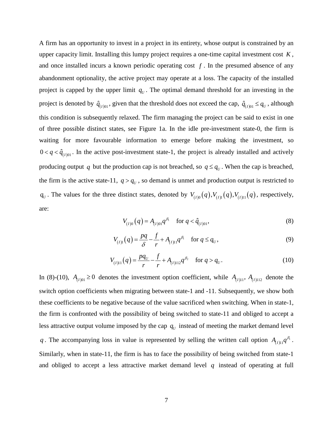A firm has an opportunity to invest in a project in its entirety, whose output is constrained by an upper capacity limit. Installing this lumpy project requires a one-time capital investment cost *K* , and once installed incurs a known periodic operating cost  $f$ . In the presumed absence of any abandonment optionality, the active project may operate at a loss. The capacity of the installed project is capped by the upper limit  $q<sub>U</sub>$ . The optimal demand threshold for an investing in the project is denoted by  $\hat{q}_{(I)01}$ , given that the threshold does not exceed the cap,  $\hat{q}_{(I)01} \leq q_U$ , although this condition is subsequently relaxed. The firm managing the project can be said to exist in one of three possible distinct states, see Figure 1a. In the idle pre-investment state-0, the firm is waiting for more favourable information to emerge before making the investment, so  $0 < q < \hat{q}_{(I)01}$ . In the active post-investment state-1, the project is already installed and actively producing output q but the production cap is not breached, so  $q \leq q_v$ . When the cap is breached, the firm is the active state-11,  $q > q<sub>U</sub>$ , so demand is unmet and production output is restricted to  $q_v$ . The values for the three distinct states, denoted by  $V_{(1)0}(q)$ ,  $V_{(1)1}(q)$ , respectively, are:

$$
V_{(I)0}(q) = A_{(I)01}q^{\beta_1} \quad \text{for } q < \hat{q}_{(I)01},
$$
 (8)

$$
V_{(I)1}(q) = \frac{pq}{\delta} - \frac{f}{r} + A_{(I)11}q^{\beta_1} \quad \text{for } q \le q_U,
$$
 (9)

$$
V_{(I)11}(q) = \frac{pq_U}{r} - \frac{f}{r} + A_{(I)112}q^{\beta_2} \quad \text{for } q > q_U.
$$
 (10)

In (8)-(10),  $A_{(I)01} \ge 0$  denotes the investment option coefficient, while  $A_{(I)11}$ ,  $A_{(I)112}$  denote the switch option coefficients when migrating between state-1 and -11. Subsequently, we show both these coefficients to be negative because of the value sacrificed when switching. When in state-1, the firm is confronted with the possibility of being switched to state-11 and obliged to accept a less attractive output volume imposed by the cap  $q_{U}$  instead of meeting the market demand level *q*. The accompanying loss in value is represented by selling the written call option  $A_{(I)11}q^{\beta_1}$ . Similarly, when in state-11, the firm is has to face the possibility of being switched from state-1 and obliged to accept a less attractive market demand level *q* instead of operating at full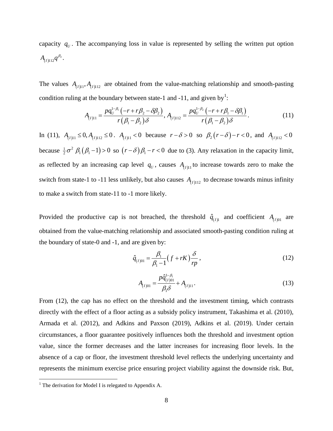capacity  $q_v$ . The accompanying loss in value is represented by selling the written put option  $A_{(I)112}q^{\beta _{2}}.$ 

The values  $A_{(1)11}, A_{(1)12}$  are obtained from the value-matching relationship and smooth-pasting condition ruling at the boundary between state-[1](#page-0-0) and -11, and given by<sup>1</sup>:

$$
A_{(I)11} = \frac{pq_U^{1-\beta_1}(-r+r\beta_2-\delta\beta_2)}{r(\beta_1-\beta_2)\delta}, A_{(I)112} = \frac{pq_U^{1-\beta_2}(-r+r\beta_1-\delta\beta_1)}{r(\beta_1-\beta_2)\delta}.
$$
 (11)

In (11),  $A$ <sub>(*I*) $11 \le 0$ ,  $A$ <sub>(*I*) $112$ </sub> ≤ 0 .  $A$ <sub>(*I*) $11$ </sub> < 0 because  $r - δ > 0$  so  $β_2(r - δ) - r < 0$ , and  $A$ <sub>(*I*) $112$ </sub> < 0</sub> because  $\frac{1}{2}\sigma^2$   $\beta_1(\beta_1-1)$  > 0 so  $(r-\delta)\beta_1 - r < 0$  due to (3). Any relaxation in the capacity limit, as reflected by an increasing cap level  $q_U$ , causes  $A_{(I)11}$  to increase towards zero to make the switch from state-1 to -11 less unlikely, but also causes  $A_{(I)112}$  to decrease towards minus infinity to make a switch from state-11 to -1 more likely.

Provided the productive cap is not breached, the threshold  $\hat{q}_{(I)}$  and coefficient  $A_{(I)01}$  are obtained from the value-matching relationship and associated smooth-pasting condition ruling at the boundary of state-0 and -1, and are given by:

$$
\hat{q}_{(I)01} = \frac{\beta_1}{\beta_1 - 1} \left( f + rK \right) \frac{\delta}{rp},\tag{12}
$$

$$
A_{(I)01} = \frac{p\hat{q}_{(I)01}^{1-\beta_1}}{\beta_1 \delta} + A_{(I)11}.
$$
\n(13)

From (12), the cap has no effect on the threshold and the investment timing, which contrasts directly with the effect of a floor acting as a subsidy policy instrument, [Takashima et al. \(2010\)](#page-41-7), [Armada et al. \(2012\)](#page-41-8), and [Adkins and Paxson \(2019\)](#page-41-9), [Adkins et al. \(2019\)](#page-41-10). Under certain circumstances, a floor guarantee positively influences both the threshold and investment option value, since the former decreases and the latter increases for increasing floor levels. In the absence of a cap or floor, the investment threshold level reflects the underlying uncertainty and represents the minimum exercise price ensuring project viability against the downside risk. But,

 $<sup>1</sup>$  The derivation for Model I is relegated to Appendix A.</sup>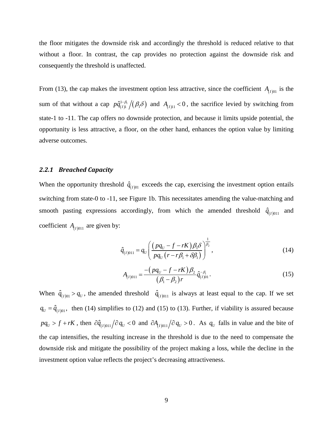the floor mitigates the downside risk and accordingly the threshold is reduced relative to that without a floor. In contrast, the cap provides no protection against the downside risk and consequently the threshold is unaffected.

From (13), the cap makes the investment option less attractive, since the coefficient  $A_{(I)01}$  is the sum of that without a cap  $p\hat{q}_{(I)1}^{1-\beta_1}/(\beta_1\delta)$  and  $A_{(I)11} < 0$ , the sacrifice levied by switching from state-1 to -11. The cap offers no downside protection, and because it limits upside potential, the opportunity is less attractive, a floor, on the other hand, enhances the option value by limiting adverse outcomes.

#### *2.2.1 Breached Capacity*

When the opportunity threshold  $\hat{q}_{(I)01}$  exceeds the cap, exercising the investment option entails switching from state-0 to -11, see Figure 1b. This necessitates amending the value-matching and smooth pasting expressions accordingly, from which the amended threshold  $\hat{q}_{(1)011}$  and coefficient  $A_{(I)011}$  are given by:

$$
\hat{q}_{(I)011} = q_U \left( \frac{\left( pq_U - f - rK \right) \beta_1 \delta}{pq_U \left( r - r\beta_1 + \delta \beta_1 \right)} \right)^{\frac{1}{\beta_2}},\tag{14}
$$

$$
A_{(I)011} = \frac{-\left(pq_U - f - rK\right)\beta_2}{\left(\beta_1 - \beta_2\right)r} \hat{q}_{(I)01}^{-\beta_1}.
$$
\n(15)

When  $\hat{q}_{(1)01} > q_U$ , the amended threshold  $\hat{q}_{(1)011}$  is always at least equal to the cap. If we set  $q_U = \hat{q}_{(1)01}$ , then (14) simplifies to (12) and (15) to (13). Further, if viability is assured because  $pq_U > f + rK$ , then  $\partial \hat{q}_{(I)011}/\partial q_U < 0$  and  $\partial A_{(I)011}/\partial q_U > 0$ . As  $q_U$  falls in value and the bite of the cap intensifies, the resulting increase in the threshold is due to the need to compensate the downside risk and mitigate the possibility of the project making a loss, while the decline in the investment option value reflects the project's decreasing attractiveness.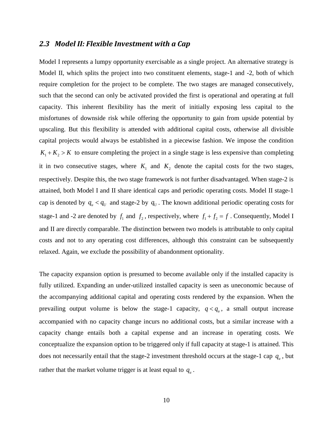## *2.3 Model II: Flexible Investment with a Cap*

Model I represents a lumpy opportunity exercisable as a single project. An alternative strategy is Model II, which splits the project into two constituent elements, stage-1 and -2, both of which require completion for the project to be complete. The two stages are managed consecutively, such that the second can only be activated provided the first is operational and operating at full capacity. This inherent flexibility has the merit of initially exposing less capital to the misfortunes of downside risk while offering the opportunity to gain from upside potential by upscaling. But this flexibility is attended with additional capital costs, otherwise all divisible capital projects would always be established in a piecewise fashion. We impose the condition  $K_1 + K_2 > K$  to ensure completing the project in a single stage is less expensive than completing it in two consecutive stages, where  $K_1$  and  $K_2$  denote the capital costs for the two stages, respectively. Despite this, the two stage framework is not further disadvantaged. When stage-2 is attained, both Model I and II share identical caps and periodic operating costs. Model II stage-1 cap is denoted by  $q_u < q_u$  and stage-2 by  $q_u$ . The known additional periodic operating costs for stage-1 and -2 are denoted by  $f_1$  and  $f_2$ , respectively, where  $f_1 + f_2 = f$ . Consequently, Model I and II are directly comparable. The distinction between two models is attributable to only capital costs and not to any operating cost differences, although this constraint can be subsequently relaxed. Again, we exclude the possibility of abandonment optionality.

The capacity expansion option is presumed to become available only if the installed capacity is fully utilized. Expanding an under-utilized installed capacity is seen as uneconomic because of the accompanying additional capital and operating costs rendered by the expansion. When the prevailing output volume is below the stage-1 capacity,  $q < q_u$ , a small output increase accompanied with no capacity change incurs no additional costs, but a similar increase with a capacity change entails both a capital expense and an increase in operating costs. We conceptualize the expansion option to be triggered only if full capacity at stage-1 is attained. This does not necessarily entail that the stage-2 investment threshold occurs at the stage-1 cap  $q_u$ , but rather that the market volume trigger is at least equal to  $q_u$ .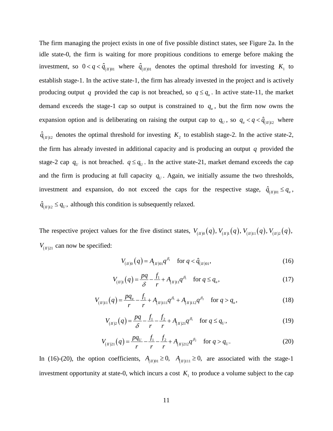The firm managing the project exists in one of five possible distinct states, see Figure 2a. In the idle state-0, the firm is waiting for more propitious conditions to emerge before making the investment, so  $0 < q < \hat{q}_{(n)01}$  where  $\hat{q}_{(n)01}$  denotes the optimal threshold for investing  $K_1$  to establish stage-1. In the active state-1, the firm has already invested in the project and is actively producing output *q* provided the cap is not breached, so  $q \le q_u$ . In active state-11, the market demand exceeds the stage-1 cap so output is constrained to  $q_u$ , but the firm now owns the expansion option and is deliberating on raising the output cap to  $q_v$ , so  $q_u < q < \hat{q}_{(n)12}$  where  $\hat{q}_{(n)12}$  denotes the optimal threshold for investing  $K_2$  to establish stage-2. In the active state-2, the firm has already invested in additional capacity and is producing an output *q* provided the stage-2 cap  $q_v$  is not breached.  $q \leq q_v$ . In the active state-21, market demand exceeds the cap and the firm is producing at full capacity  $q<sub>U</sub>$ . Again, we initially assume the two thresholds, investment and expansion, do not exceed the caps for the respective stage,  $\hat{q}_{(II)01} \leq q_u$ ,  $\hat{q}_{(n)12} \leq q_U$ , although this condition is subsequently relaxed.

The respective project values for the five distinct states,  $V_{(II)0}(q)$ ,  $V_{(II)1}(q)$ ,  $V_{(II)2}(q)$ ,  $V_{(II)21}$  can now be specified:

$$
V_{(H)0}(q) = A_{(H)01} q^{\beta_1} \quad \text{for } q < \hat{q}_{(H)01},
$$
\n(16)

$$
V_{(H)1}(q) = \frac{pq}{\delta} - \frac{f_1}{r} + A_{(H)11}q^{\beta_1} \quad \text{for } q \le q_u,
$$
 (17)

$$
V_{(H)11}(q) = \frac{pq_u}{r} - \frac{f_1}{r} + A_{(H)111}q^{\beta_1} + A_{(H)112}q^{\beta_2} \quad \text{for } q > q_u,
$$
 (18)

$$
V_{(H)2}(q) = \frac{pq}{\delta} - \frac{f_1}{r} - \frac{f_2}{r} + A_{(H)21}q^{\beta_1} \quad \text{for } q \le q_U,
$$
 (19)

$$
V_{(H)21}(q) = \frac{pq_U}{r} - \frac{f_1}{r} - \frac{f_2}{r} + A_{(H)212}q^{\beta_2} \quad \text{for } q > q_U.
$$
 (20)

In (16)-(20), the option coefficients,  $A_{(n)01} \ge 0$ ,  $A_{(n)111} \ge 0$ , are associated with the stage-1 investment opportunity at state-0, which incurs a cost  $K<sub>1</sub>$  to produce a volume subject to the cap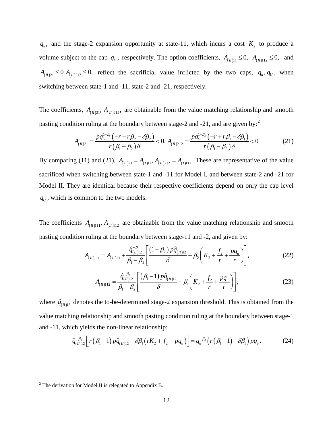$q_u$ , and the stage-2 expansion opportunity at state-11, which incurs a cost  $K_2$  to produce a volume subject to the cap  $q_U$ , respectively. The option coefficients,  $A_{(II)11} \le 0$ ,  $A_{(II)12} \le 0$ , and  $A_{(n)21} \le 0$   $A_{(n)212} \le 0$ , reflect the sacrificial value inflicted by the two caps,  $q_u, q_v$ , when switching between state-1 and -11, state-2 and -21, respectively.

The coefficients,  $A_{(II)21}$ ,  $A_{(II)212}$ , are obtainable from the value matching relationship and smooth pasting condition ruling at the boundary between stage-[2](#page-11-0) and -21, and are given by:<sup>2</sup>

$$
A_{(n)21} = \frac{pq_U^{1-\beta_1}(-r+r\beta_2-\delta\beta_2)}{r(\beta_1-\beta_2)\delta} < 0, A_{(n)212} = \frac{pq_U^{1-\beta_2}(-r+r\beta_1-\delta\beta_1)}{r(\beta_1-\beta_2)\delta} < 0
$$
 (21)

By comparing (11) and (21),  $A_{(II)21} = A_{(I)11}$ ,  $A_{(II)212} = A_{(I)112}$ . These are representative of the value sacrificed when switching between state-1 and -11 for Model I, and between state-2 and -21 for Model II. They are identical because their respective coefficients depend on only the cap level  $q_U$ , which is common to the two models.

The coefficients  $A_{(n)11}, A_{(n)12}$  are obtainable from the value matching relationship and smooth pasting condition ruling at the boundary between stage-11 and -2, and given by:

$$
A_{(H)111} = A_{(H)21} + \frac{\hat{q}_{(H)12}^{-\beta_1}}{\beta_1 - \beta_2} \left[ \frac{\left(1 - \beta_2\right) p \hat{q}_{(H)12}}{\delta} + \beta_2 \left(K_2 + \frac{f_2}{r} + \frac{pq_u}{r}\right) \right],\tag{22}
$$

$$
A_{(H)112} = \frac{\hat{q}_{(H)12}^{-\beta_2}}{\beta_1 - \beta_2} \left[ \frac{(\beta_1 - 1) p \hat{q}_{(H)12}}{\delta} - \beta_1 \left( K_2 + \frac{f_2}{r} + \frac{pq_u}{r} \right) \right],
$$
(23)

where  $\hat{q}_{(n)12}$  denotes the to-be-determined stage-2 expansion threshold. This is obtained from the value matching relationship and smooth pasting condition ruling at the boundary between stage-1 and -11, which yields the non-linear relationship:

$$
\hat{q}_{(n)12}^{-\beta_2} \left[ r(\beta_1 - 1) p \hat{q}_{(n)12} - \delta \beta_1 \left( rK_2 + f_2 + pq_u \right) \right] = q_u^{-\beta_2} \left( r(\beta_1 - 1) - \delta \beta_1 \right) pq_u. \tag{24}
$$

<span id="page-11-0"></span> $2$  The derivation for Model II is relegated to Appendix B.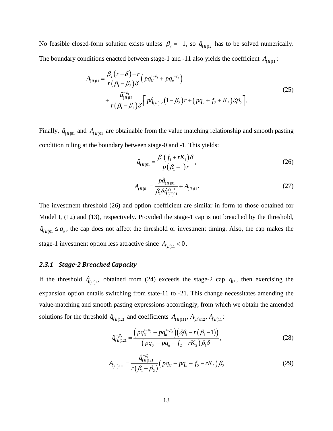No feasible closed-form solution exists unless  $\beta_2 = -1$ , so  $\hat{q}_{(n)12}$  has to be solved numerically. The boundary conditions enacted between stage-1 and -11 also yields the coefficient  $A_{(I_1)|1}$ :

$$
A_{(H)11} = \frac{\beta_2 (r - \delta) - r}{r (\beta_1 - \beta_2) \delta} \left( p q_U^{1 - \beta_1} + p q_u^{1 - \beta_1} \right)
$$
  
+ 
$$
\frac{\hat{q}_{(H)12}^{-\beta_1}}{r (\beta_1 - \beta_2) \delta} \left[ p \hat{q}_{(H)12} (1 - \beta_2) r + \left( p q_u + f_2 + K_2 \right) \delta \beta_2 \right].
$$
 (25)

Finally,  $\hat{q}_{(II)01}$  and  $A_{(II)01}$  are obtainable from the value matching relationship and smooth pasting condition ruling at the boundary between stage-0 and -1. This yields:

$$
\hat{q}_{(H)01} = \frac{\beta_1 (f_1 + rK_1) \delta}{p(\beta_1 - 1)r},
$$
\n(26)

$$
A_{(H)01} = \frac{p\hat{q}_{(H)01}}{\beta_1 \delta \hat{q}_{(H)01}^{\beta_1 - 1}} + A_{(H)11}.
$$
 (27)

The investment threshold (26) and option coefficient are similar in form to those obtained for Model I, (12) and (13), respectively. Provided the stage-1 cap is not breached by the threshold,  $\hat{q}_{(n)} \leq q_u$ , the cap does not affect the threshold or investment timing. Also, the cap makes the stage-1 investment option less attractive since  $A_{(n)11} < 0$ .

### *2.3.1 Stage-2 Breached Capacity*

If the threshold  $\hat{q}_{(n)12}$  obtained from (24) exceeds the stage-2 cap  $q_U$ , then exercising the expansion option entails switching from state-11 to -21. This change necessitates amending the value-matching and smooth pasting expressions accordingly, from which we obtain the amended solutions for the threshold  $\hat{q}_{(n)121}$  and coefficients  $A_{(n)111}$ ,  $A_{(n)112}$ ,  $A_{(n)11}$ :

$$
\hat{q}_{(H)121}^{-\beta_2} = \frac{\left(pq_U^{1-\beta_2} - pq_u^{1-\beta_2}\right)\left(\delta\beta_1 - r\left(\beta_1 - 1\right)\right)}{\left(pq_U - pq_u - f_2 - rK_2\right)\beta_1\delta},\tag{28}
$$

$$
A_{(H)111} = \frac{-\hat{q}_{(H)121}^{-\beta_1}}{r(\beta_1 - \beta_2)} \left( pq_U - pq_u - f_2 - rK_2 \right) \beta_2 \tag{29}
$$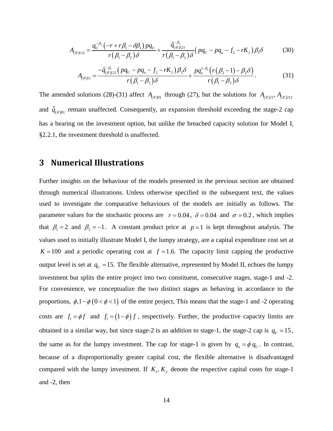$$
A_{(H)112} = \frac{q_U^{-\beta_2}(-r + r\beta_1 - \delta\beta_1)pq_U}{r(\beta_1 - \beta_2)\delta} + \frac{\hat{q}_{(H)121}^{-\beta_2}}{r(\beta_1 - \beta_2)\delta}(pq_U - pq_u - f_2 - rK_2)\beta_1\delta
$$
(30)

$$
A_{(n)11} = \frac{-\hat{q}_{(n)121}^{-\beta_1} (pq_U - pq_u - f_2 - rK_2)\beta_2 \delta}{r(\beta_1 - \beta_2)\delta} + \frac{pq_u^{1-\beta_1} (r(\beta_2 - 1) - \beta_2 \delta)}{r(\beta_1 - \beta_2)\delta}.
$$
 (31)

The amended solutions (28)-(31) affect  $A_{(I/0)1}$  through (27), but the solutions for  $A_{(I/21)}$ ,  $A_{(I/212)}$ and  $\hat{q}_{(II)01}$  remain unaffected. Consequently, an expansion threshold exceeding the stage-2 cap has a bearing on the investment option, but unlike the breached capacity solution for Model I, §2.2.1, the investment threshold is unaffected.

## **3 Numerical Illustrations**

Further insights on the behaviour of the models presented in the previous section are obtained through numerical illustrations. Unless otherwise specified in the subsequent text, the values used to investigate the comparative behaviours of the models are initially as follows. The parameter values for the stochastic process are  $r = 0.04$ ,  $\delta = 0.04$  and  $\sigma = 0.2$ , which implies that  $\beta_1 = 2$  and  $\beta_2 = -1$ . A constant product price at  $p = 1$  is kept throughout analysis. The values used to initially illustrate Model I, the lumpy strategy, are a capital expenditure cost set at  $K = 100$  and a periodic operating cost at  $f = 1.6$ . The capacity limit capping the productive output level is set at  $q_v = 15$ . The flexible alternative, represented by Model II, echoes the lumpy investment but splits the entire project into two constituent, consecutive stages, stage-1 and -2. For convenience, we conceptualize the two distinct stages as behaving in accordance to the proportions,  $\phi$ ,1− $\phi$  (0 <  $\phi$  < 1) of the entire project, This means that the stage-1 and -2 operating costs are  $f_1 = \phi f$  and  $f_1 = (1 - \phi) f$ , respectively. Further, the productive capacity limits are obtained in a similar way, but since stage-2 is an addition to stage-1, the stage-2 cap is  $q_U = 15$ , the same as for the lumpy investment. The cap for stage-1 is given by  $q_u = \phi q_v$ . In contrast, because of a disproportionally greater capital cost, the flexible alternative is disadvantaged compared with the lumpy investment. If  $K_1, K_2$  denote the respective capital costs for stage-1 and -2, then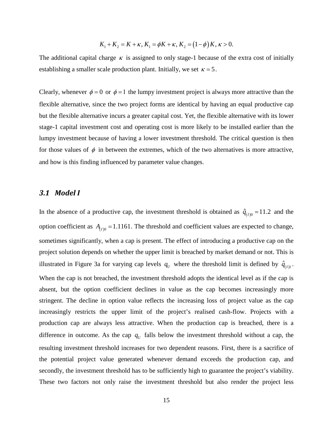$$
K_1 + K_2 = K + \kappa, K_1 = \phi K + \kappa, K_2 = (1 - \phi)K, \kappa > 0.
$$

The additional capital charge  $\kappa$  is assigned to only stage-1 because of the extra cost of initially establishing a smaller scale production plant. Initially, we set  $\kappa = 5$ .

Clearly, whenever  $\phi = 0$  or  $\phi = 1$  the lumpy investment project is always more attractive than the flexible alternative, since the two project forms are identical by having an equal productive cap but the flexible alternative incurs a greater capital cost. Yet, the flexible alternative with its lower stage-1 capital investment cost and operating cost is more likely to be installed earlier than the lumpy investment because of having a lower investment threshold. The critical question is then for those values of  $\phi$  in between the extremes, which of the two alternatives is more attractive, and how is this finding influenced by parameter value changes.

### *3.1 Model I*

In the absence of a productive cap, the investment threshold is obtained as  $\hat{q}_{(1)0} = 11.2$  and the option coefficient as  $A_{(1)0} = 1.1161$ . The threshold and coefficient values are expected to change, sometimes significantly, when a cap is present. The effect of introducing a productive cap on the project solution depends on whether the upper limit is breached by market demand or not. This is illustrated in Figure 3a for varying cap levels  $q_v$  where the threshold limit is defined by  $\hat{q}_{(I)}$ . When the cap is not breached, the investment threshold adopts the identical level as if the cap is absent, but the option coefficient declines in value as the cap becomes increasingly more stringent. The decline in option value reflects the increasing loss of project value as the cap increasingly restricts the upper limit of the project's realised cash-flow. Projects with a production cap are always less attractive. When the production cap is breached, there is a difference in outcome. As the cap  $q_{\mu}$  falls below the investment threshold without a cap, the resulting investment threshold increases for two dependent reasons. First, there is a sacrifice of the potential project value generated whenever demand exceeds the production cap, and secondly, the investment threshold has to be sufficiently high to guarantee the project's viability. These two factors not only raise the investment threshold but also render the project less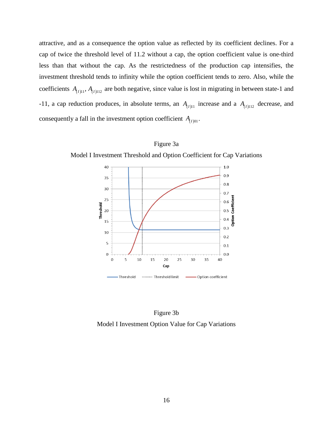attractive, and as a consequence the option value as reflected by its coefficient declines. For a cap of twice the threshold level of 11.2 without a cap, the option coefficient value is one-third less than that without the cap. As the restrictedness of the production cap intensifies, the investment threshold tends to infinity while the option coefficient tends to zero. Also, while the coefficients  $A_{(I)11}$ ,  $A_{(I)12}$  are both negative, since value is lost in migrating in between state-1 and -11, a cap reduction produces, in absolute terms, an  $A_{(I)11}$  increase and a  $A_{(I)112}$  decrease, and consequently a fall in the investment option coefficient  $A_{(I)01}$ .



Figure 3a

Figure 3b Model I Investment Option Value for Cap Variations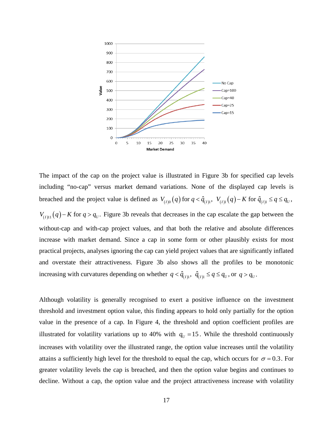

The impact of the cap on the project value is illustrated in Figure 3b for specified cap levels including "no-cap" versus market demand variations. None of the displayed cap levels is breached and the project value is defined as  $V_{(I)0}(q)$  for  $q < \hat{q}_{(I)1}$ ,  $V_{(I)1}(q) - K$  for  $\hat{q}_{(I)1} \leq q \leq q_U$ ,  $V_{(1)11}(q) - K$  for  $q > q_v$ . Figure 3b reveals that decreases in the cap escalate the gap between the without-cap and with-cap project values, and that both the relative and absolute differences increase with market demand. Since a cap in some form or other plausibly exists for most practical projects, analyses ignoring the cap can yield project values that are significantly inflated and overstate their attractiveness. Figure 3b also shows all the profiles to be monotonic increasing with curvatures depending on whether  $q < \hat{q}_{(I)1}$ ,  $\hat{q}_{(I)1} \leq q \leq q_U$ , or  $q > q_U$ .

Although volatility is generally recognised to exert a positive influence on the investment threshold and investment option value, this finding appears to hold only partially for the option value in the presence of a cap. In Figure 4, the threshold and option coefficient profiles are illustrated for volatility variations up to 40% with  $q_U = 15$ . While the threshold continuously increases with volatility over the illustrated range, the option value increases until the volatility attains a sufficiently high level for the threshold to equal the cap, which occurs for  $\sigma = 0.3$ . For greater volatility levels the cap is breached, and then the option value begins and continues to decline. Without a cap, the option value and the project attractiveness increase with volatility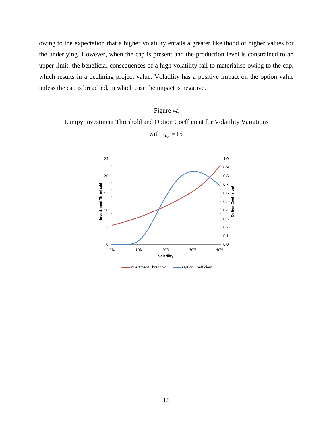owing to the expectation that a higher volatility entails a greater likelihood of higher values for the underlying. However, when the cap is present and the production level is constrained to an upper limit, the beneficial consequences of a high volatility fail to materialise owing to the cap, which results in a declining project value. Volatility has a positive impact on the option value unless the cap is breached, in which case the impact is negative.

### Figure 4a

Lumpy Investment Threshold and Option Coefficient for Volatility Variations

with  $q_U = 15$ 

 $25$  $1.0$  $0.9$  $20$  $0.8$  $0.7$ Investment Threshold Coefficien 15  $0.6$  $0.5$ Option 10  $0.4$  $0.3$ 5  $0.2$  $0.1$  $\overline{0}$  $0.0$ 0% 10% 20% 30% 40% Volatility Investment Threshold -Option Coefficient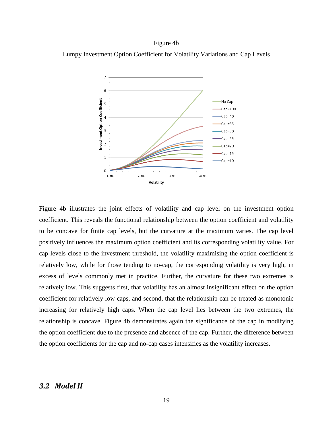#### Figure 4b

Lumpy Investment Option Coefficient for Volatility Variations and Cap Levels



Figure 4b illustrates the joint effects of volatility and cap level on the investment option coefficient. This reveals the functional relationship between the option coefficient and volatility to be concave for finite cap levels, but the curvature at the maximum varies. The cap level positively influences the maximum option coefficient and its corresponding volatility value. For cap levels close to the investment threshold, the volatility maximising the option coefficient is relatively low, while for those tending to no-cap, the corresponding volatility is very high, in excess of levels commonly met in practice. Further, the curvature for these two extremes is relatively low. This suggests first, that volatility has an almost insignificant effect on the option coefficient for relatively low caps, and second, that the relationship can be treated as monotonic increasing for relatively high caps. When the cap level lies between the two extremes, the relationship is concave. Figure 4b demonstrates again the significance of the cap in modifying the option coefficient due to the presence and absence of the cap. Further, the difference between the option coefficients for the cap and no-cap cases intensifies as the volatility increases.

### *3.2 Model II*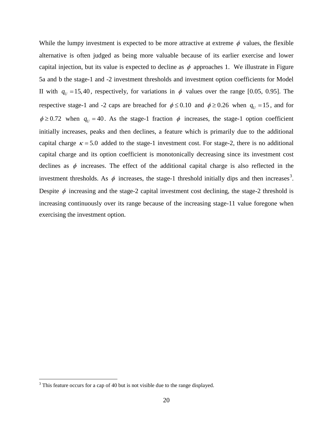While the lumpy investment is expected to be more attractive at extreme  $\phi$  values, the flexible alternative is often judged as being more valuable because of its earlier exercise and lower capital injection, but its value is expected to decline as  $\phi$  approaches 1. We illustrate in Figure 5a and b the stage-1 and -2 investment thresholds and investment option coefficients for Model II with  $q<sub>U</sub> = 15,40$ , respectively, for variations in  $\phi$  values over the range [0.05, 0.95]. The respective stage-1 and -2 caps are breached for  $\phi \le 0.10$  and  $\phi \ge 0.26$  when  $q_{U} = 15$ , and for  $\phi \ge 0.72$  when  $q_U = 40$ . As the stage-1 fraction  $\phi$  increases, the stage-1 option coefficient initially increases, peaks and then declines, a feature which is primarily due to the additional capital charge  $\kappa = 5.0$  added to the stage-1 investment cost. For stage-2, there is no additional capital charge and its option coefficient is monotonically decreasing since its investment cost declines as  $\phi$  increases. The effect of the additional capital charge is also reflected in the investment thresholds. As  $\phi$  increases, the stage-1 threshold initially dips and then increases<sup>[3](#page-19-0)</sup>. Despite  $\phi$  increasing and the stage-2 capital investment cost declining, the stage-2 threshold is increasing continuously over its range because of the increasing stage-11 value foregone when exercising the investment option.

<span id="page-19-0"></span><sup>&</sup>lt;sup>3</sup> This feature occurs for a cap of 40 but is not visible due to the range displayed.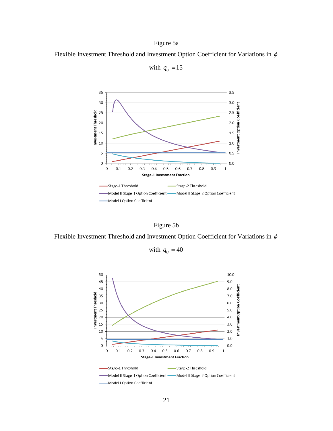## Figure 5a

Flexible Investment Threshold and Investment Option Coefficient for Variations in  $\phi$ 



with  $q_U = 15$ 

Figure 5b

Flexible Investment Threshold and Investment Option Coefficient for Variations in  $\phi$ 

with  $q_U = 40$ 

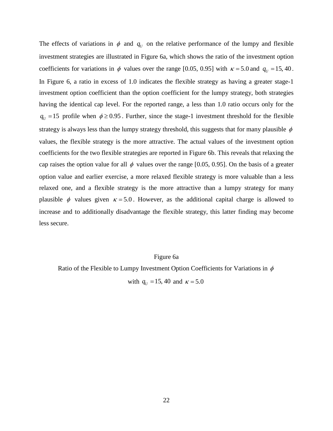The effects of variations in  $\phi$  and  $q_U$  on the relative performance of the lumpy and flexible investment strategies are illustrated in Figure 6a, which shows the ratio of the investment option coefficients for variations in  $\phi$  values over the range [0.05, 0.95] with  $\kappa = 5.0$  and  $q_U = 15, 40$ . In Figure 6, a ratio in excess of 1.0 indicates the flexible strategy as having a greater stage-1 investment option coefficient than the option coefficient for the lumpy strategy, both strategies having the identical cap level. For the reported range, a less than 1.0 ratio occurs only for the  $q_v = 15$  profile when  $\phi \ge 0.95$ . Further, since the stage-1 investment threshold for the flexible strategy is always less than the lumpy strategy threshold, this suggests that for many plausible  $\phi$ values, the flexible strategy is the more attractive. The actual values of the investment option coefficients for the two flexible strategies are reported in Figure 6b. This reveals that relaxing the cap raises the option value for all  $\phi$  values over the range [0.05, 0.95]. On the basis of a greater option value and earlier exercise, a more relaxed flexible strategy is more valuable than a less relaxed one, and a flexible strategy is the more attractive than a lumpy strategy for many plausible  $\phi$  values given  $\kappa = 5.0$ . However, as the additional capital charge is allowed to increase and to additionally disadvantage the flexible strategy, this latter finding may become less secure.

#### Figure 6a

Ratio of the Flexible to Lumpy Investment Option Coefficients for Variations in  $\phi$ 

with  $q_U = 15, 40$  and  $\kappa = 5.0$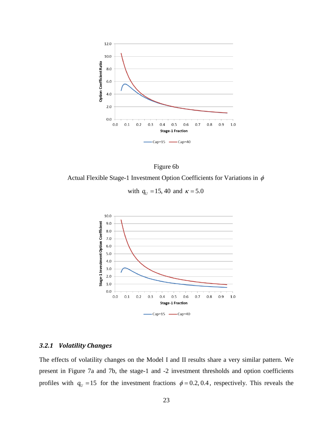



with  $q_U = 15, 40$  and  $\kappa = 5.0$ 



### *3.2.1 Volatility Changes*

The effects of volatility changes on the Model I and II results share a very similar pattern. We present in Figure 7a and 7b, the stage-1 and -2 investment thresholds and option coefficients profiles with  $q_U = 15$  for the investment fractions  $\phi = 0.2, 0.4$ , respectively. This reveals the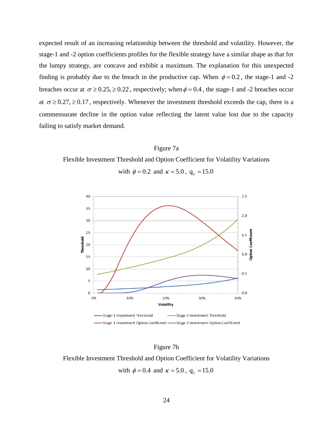expected result of an increasing relationship between the threshold and volatility. However, the stage-1 and -2 option coefficients profiles for the flexible strategy have a similar shape as that for the lumpy strategy, are concave and exhibit a maximum. The explanation for this unexpected finding is probably due to the breach in the productive cap. When  $\phi = 0.2$ , the stage-1 and -2 breaches occur at  $\sigma \ge 0.25$ ,  $\ge 0.22$ , respectively; when  $\phi = 0.4$ , the stage-1 and -2 breaches occur at  $\sigma \ge 0.27$ ,  $\ge 0.17$ , respectively. Whenever the investment threshold exceeds the cap, there is a commensurate decline in the option value reflecting the latent value lost due to the capacity failing to satisfy market demand.

#### Figure 7a

Flexible Investment Threshold and Option Coefficient for Volatility Variations





Figure 7b

Flexible Investment Threshold and Option Coefficient for Volatility Variations with  $\phi = 0.4$  and  $\kappa = 5.0$ ,  $q_U = 15.0$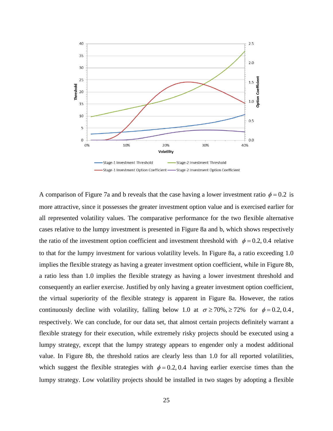

A comparison of Figure 7a and b reveals that the case having a lower investment ratio  $\phi = 0.2$  is more attractive, since it possesses the greater investment option value and is exercised earlier for all represented volatility values. The comparative performance for the two flexible alternative cases relative to the lumpy investment is presented in Figure 8a and b, which shows respectively the ratio of the investment option coefficient and investment threshold with  $\phi = 0.2, 0.4$  relative to that for the lumpy investment for various volatility levels. In Figure 8a, a ratio exceeding 1.0 implies the flexible strategy as having a greater investment option coefficient, while in Figure 8b, a ratio less than 1.0 implies the flexible strategy as having a lower investment threshold and consequently an earlier exercise. Justified by only having a greater investment option coefficient, the virtual superiority of the flexible strategy is apparent in Figure 8a. However, the ratios continuously decline with volatility, falling below 1.0 at  $\sigma \ge 70\%$ ,  $\ge 72\%$  for  $\phi = 0.2, 0.4$ , respectively. We can conclude, for our data set, that almost certain projects definitely warrant a flexible strategy for their execution, while extremely risky projects should be executed using a lumpy strategy, except that the lumpy strategy appears to engender only a modest additional value. In Figure 8b, the threshold ratios are clearly less than 1.0 for all reported volatilities, which suggest the flexible strategies with  $\phi = 0.2, 0.4$  having earlier exercise times than the lumpy strategy. Low volatility projects should be installed in two stages by adopting a flexible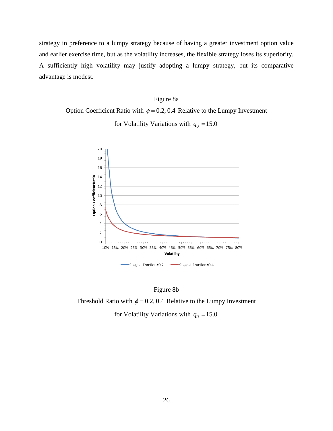strategy in preference to a lumpy strategy because of having a greater investment option value and earlier exercise time, but as the volatility increases, the flexible strategy loses its superiority. A sufficiently high volatility may justify adopting a lumpy strategy, but its comparative advantage is modest.

### Figure 8a

Option Coefficient Ratio with  $\phi = 0.2, 0.4$  Relative to the Lumpy Investment



for Volatility Variations with  $q<sub>U</sub> = 15.0$ 

#### Figure 8b

Threshold Ratio with  $\phi = 0.2, 0.4$  Relative to the Lumpy Investment

for Volatility Variations with  $q_U = 15.0$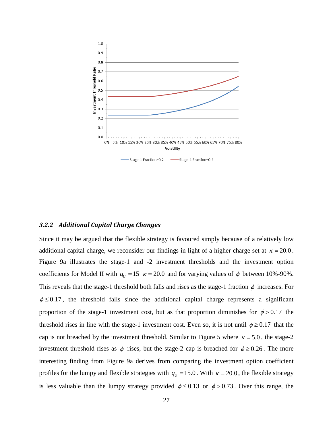

#### *3.2.2 Additional Capital Charge Changes*

Since it may be argued that the flexible strategy is favoured simply because of a relatively low additional capital charge, we reconsider our findings in light of a higher charge set at  $\kappa = 20.0$ . Figure 9a illustrates the stage-1 and -2 investment thresholds and the investment option coefficients for Model II with  $q_U = 15$   $\kappa = 20.0$  and for varying values of  $\phi$  between 10%-90%. This reveals that the stage-1 threshold both falls and rises as the stage-1 fraction  $\phi$  increases. For  $\phi \le 0.17$ , the threshold falls since the additional capital charge represents a significant proportion of the stage-1 investment cost, but as that proportion diminishes for  $\phi > 0.17$  the threshold rises in line with the stage-1 investment cost. Even so, it is not until  $\phi \ge 0.17$  that the cap is not breached by the investment threshold. Similar to Figure 5 where  $\kappa = 5.0$ , the stage-2 investment threshold rises as  $\phi$  rises, but the stage-2 cap is breached for  $\phi \ge 0.26$ . The more interesting finding from Figure 9a derives from comparing the investment option coefficient profiles for the lumpy and flexible strategies with  $q_U = 15.0$ . With  $\kappa = 20.0$ , the flexible strategy is less valuable than the lumpy strategy provided  $\phi \le 0.13$  or  $\phi > 0.73$ . Over this range, the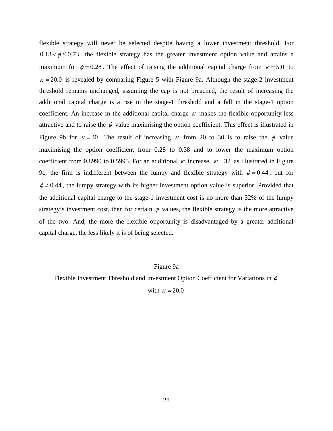flexible strategy will never be selected despite having a lower investment threshold. For  $0.13 < \phi \le 0.73$ , the flexible strategy has the greater investment option value and attains a maximum for  $\phi = 0.28$ . The effect of raising the additional capital charge from  $\kappa = 5.0$  to  $\kappa$  = 20.0 is revealed by comparing Figure 5 with Figure 9a. Although the stage-2 investment threshold remains unchanged, assuming the cap is not breached, the result of increasing the additional capital charge is a rise in the stage-1 threshold and a fall in the stage-1 option coefficient. An increase in the additional capital charge  $\kappa$  makes the flexible opportunity less attractive and to raise the  $\phi$  value maximising the option coefficient. This effect is illustrated in Figure 9b for  $\kappa = 30$ . The result of increasing  $\kappa$  from 20 to 30 is to raise the  $\phi$  value maximising the option coefficient from 0.28 to 0.38 and to lower the maximum option coefficient from 0.8990 to 0.5995. For an additional  $\kappa$  increase,  $\kappa = 32$  as illustrated in Figure 9c, the firm is indifferent between the lumpy and flexible strategy with  $\phi = 0.44$ , but for  $\phi \neq 0.44$ , the lumpy strategy with its higher investment option value is superior. Provided that the additional capital charge to the stage-1 investment cost is no more than 32% of the lumpy strategy's investment cost, then for certain  $\phi$  values, the flexible strategy is the more attractive of the two. And, the more the flexible opportunity is disadvantaged by a greater additional capital charge, the less likely it is of being selected.

### Figure 9a

Flexible Investment Threshold and Investment Option Coefficient for Variations in  $\phi$ 

with  $\kappa = 20.0$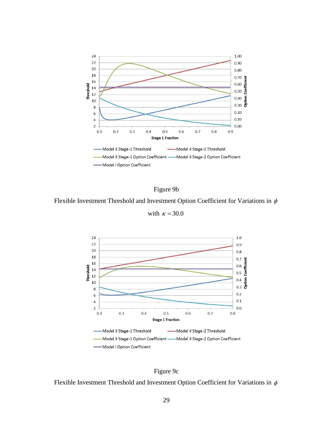



Flexible Investment Threshold and Investment Option Coefficient for Variations in  $\phi$ 

with  $\kappa = 30.0$ 





Flexible Investment Threshold and Investment Option Coefficient for Variations in  $\phi$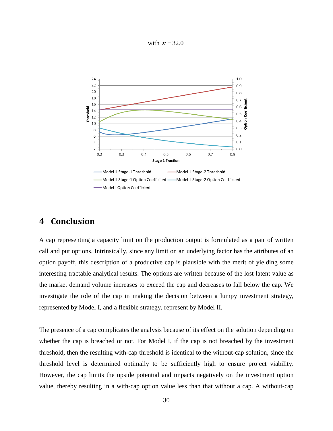with  $\kappa = 32.0$ 



## **4 Conclusion**

A cap representing a capacity limit on the production output is formulated as a pair of written call and put options. Intrinsically, since any limit on an underlying factor has the attributes of an option payoff, this description of a productive cap is plausible with the merit of yielding some interesting tractable analytical results. The options are written because of the lost latent value as the market demand volume increases to exceed the cap and decreases to fall below the cap. We investigate the role of the cap in making the decision between a lumpy investment strategy, represented by Model I, and a flexible strategy, represent by Model II.

The presence of a cap complicates the analysis because of its effect on the solution depending on whether the cap is breached or not. For Model I, if the cap is not breached by the investment threshold, then the resulting with-cap threshold is identical to the without-cap solution, since the threshold level is determined optimally to be sufficiently high to ensure project viability. However, the cap limits the upside potential and impacts negatively on the investment option value, thereby resulting in a with-cap option value less than that without a cap. A without-cap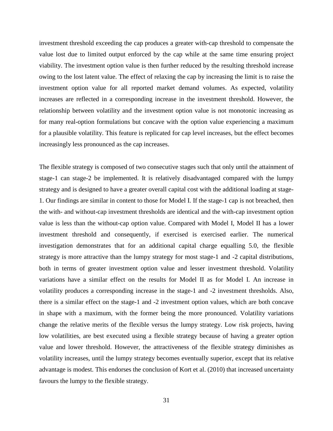investment threshold exceeding the cap produces a greater with-cap threshold to compensate the value lost due to limited output enforced by the cap while at the same time ensuring project viability. The investment option value is then further reduced by the resulting threshold increase owing to the lost latent value. The effect of relaxing the cap by increasing the limit is to raise the investment option value for all reported market demand volumes. As expected, volatility increases are reflected in a corresponding increase in the investment threshold. However, the relationship between volatility and the investment option value is not monotonic increasing as for many real-option formulations but concave with the option value experiencing a maximum for a plausible volatility. This feature is replicated for cap level increases, but the effect becomes increasingly less pronounced as the cap increases.

The flexible strategy is composed of two consecutive stages such that only until the attainment of stage-1 can stage-2 be implemented. It is relatively disadvantaged compared with the lumpy strategy and is designed to have a greater overall capital cost with the additional loading at stage-1. Our findings are similar in content to those for Model I. If the stage-1 cap is not breached, then the with- and without-cap investment thresholds are identical and the with-cap investment option value is less than the without-cap option value. Compared with Model I, Model II has a lower investment threshold and consequently, if exercised is exercised earlier. The numerical investigation demonstrates that for an additional capital charge equalling 5.0, the flexible strategy is more attractive than the lumpy strategy for most stage-1 and -2 capital distributions, both in terms of greater investment option value and lesser investment threshold. Volatility variations have a similar effect on the results for Model II as for Model I. An increase in volatility produces a corresponding increase in the stage-1 and -2 investment thresholds. Also, there is a similar effect on the stage-1 and -2 investment option values, which are both concave in shape with a maximum, with the former being the more pronounced. Volatility variations change the relative merits of the flexible versus the lumpy strategy. Low risk projects, having low volatilities, are best executed using a flexible strategy because of having a greater option value and lower threshold. However, the attractiveness of the flexible strategy diminishes as volatility increases, until the lumpy strategy becomes eventually superior, except that its relative advantage is modest. This endorses the conclusion of [Kort et al. \(2010\)](#page-41-6) that increased uncertainty favours the lumpy to the flexible strategy.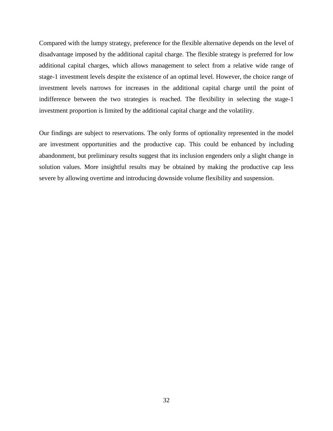Compared with the lumpy strategy, preference for the flexible alternative depends on the level of disadvantage imposed by the additional capital charge. The flexible strategy is preferred for low additional capital charges, which allows management to select from a relative wide range of stage-1 investment levels despite the existence of an optimal level. However, the choice range of investment levels narrows for increases in the additional capital charge until the point of indifference between the two strategies is reached. The flexibility in selecting the stage-1 investment proportion is limited by the additional capital charge and the volatility.

Our findings are subject to reservations. The only forms of optionality represented in the model are investment opportunities and the productive cap. This could be enhanced by including abandonment, but preliminary results suggest that its inclusion engenders only a slight change in solution values. More insightful results may be obtained by making the productive cap less severe by allowing overtime and introducing downside volume flexibility and suspension.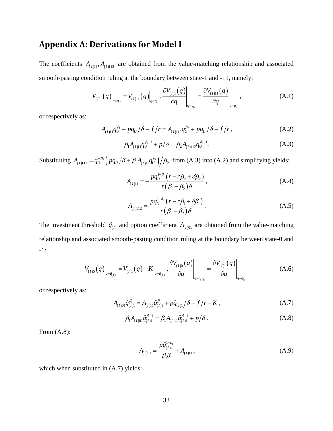## **Appendix A: Derivations for Model I**

The coefficients  $A_{(I)11}, A_{(I)112}$  are obtained from the value-matching relationship and associated smooth-pasting condition ruling at the boundary between state-1 and -11, namely:

$$
V_{(I)1}(q)\Big|_{q=q_U} = V_{(I)11}(q)\Big|_{q=q_U}, \frac{\partial V_{(I)1}(q)}{\partial q}\Big|_{q=q_U} = \frac{\partial V_{(I)11}(q)}{\partial q}\Big|_{q=q_U}, \qquad (A.1)
$$

or respectively as:

$$
A_{(I)11}q_U^{\beta_1} + pq_U/\delta - f/r = A_{(I)112}q_U^{\beta_2} + pq_U/\delta - f/r,
$$
 (A.2)

$$
\beta_1 A_{(I)11} q_U^{\beta_1 - 1} + p/\delta = \beta_2 A_{(I)112} q_U^{\beta_2 - 1}.
$$
\n(A.3)

Substituting  $A_{(I)112} = q_U^{-\beta_2} \left( pq_U / \delta + \beta_1 A_{(I)11} q_U^{\beta_1} \right) / \beta_2$  from (A.3) into (A.2) and simplifying yields:

$$
A_{(I)11} = -\frac{pq_U^{1-\beta_1}(r - r\beta_2 + \delta\beta_2)}{r(\beta_1 - \beta_2)\delta},
$$
\n(A.4)

$$
A_{(1)112} = \frac{pq_U^{1-\beta_2} (r - r\beta_1 + \delta\beta_1)}{r(\beta_1 - \beta_2)\delta}.
$$
 (A.5)

The investment threshold  $\hat{q}_{(l)}$  and option coefficient  $A_{(l)01}$  are obtained from the value-matching relationship and associated smooth-pasting condition ruling at the boundary between state-0 and -1:

$$
V_{(I)0}(q)\Big|_{q=\hat{q}_{(I)1}} = V_{(I)1}(q) - K\Big|_{q=\hat{q}_{(I)1}}, \left.\frac{\partial V_{(I)0}(q)}{\partial q}\right|_{q=\hat{q}_{(I)1}} = \frac{\partial V_{(I)1}(q)}{\partial q}\Big|_{q=\hat{q}_{(I)1}} \tag{A.6}
$$

or respectively as:

$$
A_{(I)01}\hat{q}_{(I)1}^{\beta_1} = A_{(I)11}\hat{q}_{(I)1}^{\beta_1} + p\hat{q}_{(I)1}/\delta - f/r - K , \qquad (A.7)
$$

$$
\beta_1 A_{(I)01} \hat{q}_{(I)1}^{\beta_1 - 1} = \beta_1 A_{(I)11} \hat{q}_{(I)1}^{\beta_1 - 1} + p/\delta.
$$
 (A.8)

From  $(A.8)$ :

$$
A_{(I)01} = \frac{p\hat{q}_{(I)1}^{1-\beta_1}}{\beta_1 \delta} + A_{(I)11},
$$
\n(A.9)

which when substituted in  $(A.7)$  yields: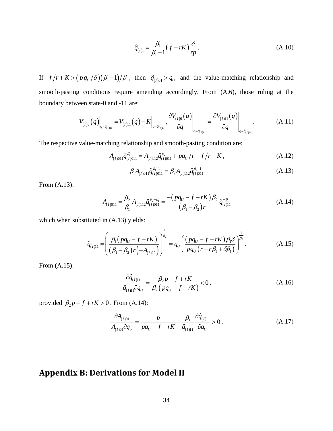$$
\hat{q}_{(I)1} = \frac{\beta_1}{\beta_1 - 1} (f + rK) \frac{\delta}{rp}.
$$
\n(A.10)

If  $f/r + K > (p q_U / \delta)(\beta_1 - 1)/\beta_1$ , then  $\hat{q}_{(1)01} > q_U$  and the value-matching relationship and smooth-pasting conditions require amending accordingly. From (A.6), those ruling at the boundary between state-0 and -11 are:

$$
V_{(I)0}(q)\Big|_{q=\hat{q}_{(I)11}} = V_{(I)11}(q) - K\Big|_{q=\hat{q}_{(I)11}}, \frac{\partial V_{(I)0}(q)}{\partial q}\Big|_{q=\hat{q}_{(I)11}} = \frac{\partial V_{(I)11}(q)}{\partial q}\Big|_{q=\hat{q}_{(I)11}}.
$$
 (A.11)

The respective value-matching relationship and smooth-pasting condition are:

$$
A_{(I)011}\hat{q}_{(I)011}^{\beta_1} = A_{(I)112}\hat{q}_{(I)011}^{\beta_2} + pq_U/r - f/r - K,
$$
\n(A.12)

$$
\beta_1 A_{(I)011} \hat{q}_{(I)011}^{\beta_1 - 1} = \beta_2 A_{(I)112} \hat{q}_{(I)011}^{\beta_2 - 1}
$$
\n(A.13)

From (A.13):

$$
A_{(I)011} = \frac{\beta_2}{\beta_1} A_{(I)112} \hat{q}_{(I)011}^{\beta_2 - \beta_1} = \frac{-\left(pq_U - f - rK\right)\beta_2}{\left(\beta_1 - \beta_2\right)r} \hat{q}_{(I)11}^{-\beta_1}
$$
(A.14)

which when substituted in  $(A.13)$  yields:

$$
\hat{q}_{(I)11} = \left(\frac{\beta_1 \left(pq_U - f - rK\right)}{\left(\beta_1 - \beta_2\right)r\left(-A_{(I)22}\right)}\right)^{\frac{1}{\beta_2}} = q_U \left(\frac{\left(pq_U - f - rK\right)\beta_1 \delta}{pq_U\left(r - r\beta_1 + \delta\beta_1\right)}\right)^{\frac{1}{\beta_2}}.
$$
\n(A.15)

From (A.15):

$$
\frac{\partial \hat{q}_{(I)11}}{\hat{q}_{(I)11}\partial q_U} = \frac{\beta_2 p + f + rK}{\beta_2 \left(pq_U - f - rK\right)} < 0,
$$
\n(A.16)

provided  $\beta_2 p + f + rK > 0$ . From (A.14):

$$
\frac{\partial A_{(I)01}}{A_{(I)01}\partial q_U} = \frac{p}{pq_U - f - rK} - \frac{\beta_1}{\hat{q}_{(I)11}} \frac{\partial \hat{q}_{(I)11}}{\partial q_U} > 0.
$$
\n(A.17)

## **Appendix B: Derivations for Model II**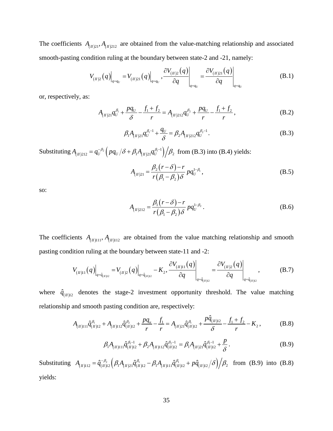The coefficients  $A_{(n)21}$ ,  $A_{(n)212}$  are obtained from the value-matching relationship and associated smooth-pasting condition ruling at the boundary between state-2 and -21, namely:

$$
V_{(II)2}(q)\Big|_{q=q_U} = V_{(II)21}(q)\Big|_{q=q_U}, \frac{\partial V_{(II)2}(q)}{\partial q}\Big|_{q=q_U} = \frac{\partial V_{(II)21}(q)}{\partial q}\Big|_{q=q_U}
$$
(B.1)

or, respectively, as:

$$
A_{(H)21}q_U^{\beta_1} + \frac{pq_U}{\delta} - \frac{f_1 + f_2}{r} = A_{(H)212}q_U^{\beta_2} + \frac{pq_U}{r} - \frac{f_1 + f_2}{r}, \tag{B.2}
$$

$$
\beta_1 A_{(H)21} q_U^{\beta_1 - 1} + \frac{q_U}{\delta} = \beta_2 A_{(H)212} q_U^{\beta_2 - 1}.
$$
 (B.3)

Substituting  $A_{(n)_{212}} = q_{U}^{-\beta_2} \left( pq_{U} / \delta + \beta_1 A_{(n)_{21}} q_{U}^{\beta_1 - 1} \right) / \beta_2$  from (B.3) into (B.4) yields:

$$
A_{(H)21} = \frac{\beta_2 (r - \delta) - r}{r (\beta_1 - \beta_2) \delta} p q_U^{1 - \beta_1},
$$
 (B.5)

so:

$$
A_{(H)212} = \frac{\beta_1 (r - \delta) - r}{r (\beta_1 - \beta_2) \delta} p q_U^{1 - \beta_2}.
$$
 (B.6)

The coefficients  $A_{(n)11}, A_{(n)12}$  are obtained from the value matching relationship and smooth pasting condition ruling at the boundary between state-11 and -2:

$$
V_{(H)11}(q)\Big|_{q=\hat{q}_{(H)2}} = V_{(H)2}(q)\Big|_{q=\hat{q}_{(H)2}} - K_2, \frac{\partial V_{(H)11}(q)}{\partial q}\Big|_{q=\hat{q}_{(H)2}} = \frac{\partial V_{(H)2}(q)}{\partial q}\Big|_{q=\hat{q}_{(H)2}}, \quad (B.7)
$$

where  $\hat{q}_{(n)12}$  denotes the stage-2 investment opportunity threshold. The value matching relationship and smooth pasting condition are, respectively:

$$
A_{(H)111}\hat{q}_{(H)12}^{\beta_1} + A_{(H)112}\hat{q}_{(H)12}^{\beta_2} + \frac{pq_u}{r} - \frac{f_1}{r} = A_{(H)21}\hat{q}_{(H)12}^{\beta_1} + \frac{p\hat{q}_{(H)12}}{\delta} - \frac{f_1 + f_2}{r} - K_2,
$$
 (B.8)

$$
\beta_1 A_{(n)111} \hat{q}_{(n)12}^{\beta_1 - 1} + \beta_2 A_{(n)112} \hat{q}_{(n)12}^{\beta_2 - 1} = \beta_1 A_{(n)21} \hat{q}_{(n)12}^{\beta_1 - 1} + \frac{p}{\delta}.
$$
 (B.9)

Substituting  $A_{(n)112} = \hat{q}_{(n)12}^{-\beta_2} \left( \beta_1 A_{(n)21} \hat{q}_{(n)12}^{\beta_1} - \beta_1 A_{(n)111} \hat{q}_{(n)12}^{\beta_1} + p \hat{q}_{(n)12} / \delta \right) / \beta_2$  from (B.9) into (B.8) yields: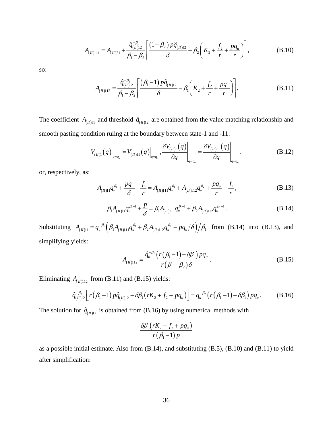$$
A_{(n)111} = A_{(n)21} + \frac{\hat{q}_{(n)12}^{-\beta_1}}{\beta_1 - \beta_2} \left[ \frac{(1 - \beta_2) p \hat{q}_{(n)12}}{\delta} + \beta_2 \left( K_2 + \frac{f_2}{r} + \frac{pq_u}{r} \right) \right],
$$
(B.10)

so:

$$
A_{(n)112} = \frac{\hat{q}_{(n)12}^{-\beta_2}}{\beta_1 - \beta_2} \left[ \frac{(\beta_1 - 1) p \hat{q}_{(n)12}}{\delta} - \beta_1 \left( K_2 + \frac{f_2}{r} + \frac{pq_u}{r} \right) \right].
$$
 (B.11)

The coefficient  $A_{(II)11}$  and threshold  $\hat{q}_{(II)12}$  are obtained from the value matching relationship and smooth pasting condition ruling at the boundary between state-1 and -11:

$$
V_{(II)1}(q)\Big|_{q=q_u} = V_{(II)11}(q)\Big|_{q=q_u}, \frac{\partial V_{(II)1}(q)}{\partial q}\Big|_{q=q_u} = \frac{\partial V_{(II)11}(q)}{\partial q}\Big|_{q=q_u}.
$$
 (B.12)

or, respectively, as:

$$
A_{(II)11}q_u^{\beta_1} + \frac{pq_u}{\delta} - \frac{f_1}{r} = A_{(II)111}q_u^{\beta_1} + A_{(II)112}q_u^{\beta_2} + \frac{pq_u}{r} - \frac{f_1}{r}, \qquad (B.13)
$$

$$
\beta_1 A_{(n)11} q_u^{\beta_1 - 1} + \frac{p}{\delta} = \beta_1 A_{(n)111} q_u^{\beta_1 - 1} + \beta_2 A_{(n)112} q_u^{\beta_2 - 1}.
$$
 (B.14)

Substituting  $A_{(n)11} = q_u^{-\beta_1} \left( \beta_1 A_{(n)111} q_u^{\beta_1} + \beta_2 A_{(n)12} q_u^{\beta_2} - pq_u/\delta \right) / \beta_1$  from (B.14) into (B.13), and simplifying yields:

$$
A_{(H)112} = \frac{\hat{q}_{u}^{-\beta_{2}} \left( r \left( \beta_{1} - 1 \right) - \delta \beta_{1} \right) p q_{u}}{r \left( \beta_{1} - \beta_{2} \right) \delta}.
$$
 (B.15)

Eliminating  $A_{(I/1)12}$  from (B.11) and (B.15) yields:

$$
\hat{q}_{(H)12}^{-\beta_2} \left[ r(\beta_1 - 1) p \hat{q}_{(H)12} - \delta \beta_1 \left( rK_2 + f_2 + pq_u \right) \right] = q_u^{-\beta_2} \left( r(\beta_1 - 1) - \delta \beta_1 \right) pq_u. \tag{B.16}
$$

The solution for  $\hat{q}_{(n)12}$  is obtained from (B.16) by using numerical methods with

$$
\frac{\delta \beta_1 \left(rK_2 + f_2 + pq_u\right)}{r \left(\beta_1 - 1\right) p}
$$

as a possible initial estimate. Also from (B.14), and substituting (B.5), (B.10) and (B.11) to yield after simplification: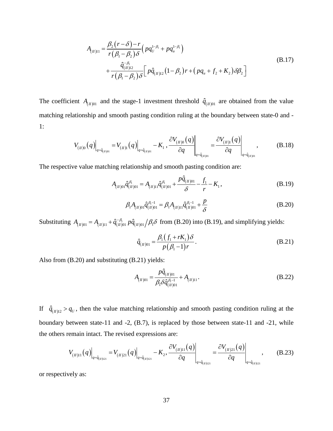$$
A_{(H)11} = \frac{\beta_2 (r - \delta) - r}{r (\beta_1 - \beta_2) \delta} \left( p q_U^{1 - \beta_1} + p q_u^{1 - \beta_1} \right)
$$
  
+ 
$$
\frac{\hat{q}_{(H)12}^{-\beta_1}}{r (\beta_1 - \beta_2) \delta} \left[ p \hat{q}_{(H)12} (1 - \beta_2) r + \left( p q_u + f_2 + K_2 \right) \delta \beta_2 \right]
$$
(B.17)

The coefficient  $A_{(I/0)1}$  and the stage-1 investment threshold  $\hat{q}_{(I/0)1}$  are obtained from the value matching relationship and smooth pasting condition ruling at the boundary between state-0 and - 1:

$$
V_{(H)0}(q)\Big|_{q=\hat{q}_{(H)01}} = V_{(H)1}(q)\Big|_{q=\hat{q}_{(H)01}} - K_1, \left. \frac{\partial V_{(H)0}(q)}{\partial q}\right|_{q=\hat{q}_{(H)01}} = \left. \frac{\partial V_{(H)1}(q)}{\partial q}\right|_{q=\hat{q}_{(H)01}}, \qquad (B.18)
$$

The respective value matching relationship and smooth pasting condition are:

$$
A_{(H)01}\hat{q}_{(H)01}^{\beta_1} = A_{(H)11}\hat{q}_{(H)01}^{\beta_1} + \frac{p\hat{q}_{(H)01}}{\delta} - \frac{f_1}{r} - K_1,
$$
\n(B.19)

$$
\beta_1 A_{(H)01} \hat{q}_{(H)01}^{\beta_1 - 1} = \beta_1 A_{(H)11} \hat{q}_{(H)01}^{\beta_1 - 1} + \frac{p}{\delta}
$$
\n(B.20)

Substituting  $A_{(H)(0)} = A_{(H)(1)} + \hat{q}_{(H)(0)}^{-\beta_1} p \hat{q}_{(H)(0)} / \beta_1 \delta$  from (B.20) into (B.19), and simplifying yields:

$$
\hat{q}_{(H)01} = \frac{\beta_1 (f_1 + rK_1) \delta}{p(\beta_1 - 1)r}.
$$
\n(B.21)

Also from (B.20) and substituting (B.21) yields:

$$
A_{(H)01} = \frac{p\hat{q}_{(H)01}}{\beta_1 \delta \hat{q}_{(H)01}^{\beta_1 - 1}} + A_{(H)11}.
$$
 (B.22)

If  $\hat{q}_{(n)12} > q_U$ , then the value matching relationship and smooth pasting condition ruling at the boundary between state-11 and -2, (B.7), is replaced by those between state-11 and -21, while the others remain intact. The revised expressions are:

$$
V_{(H)11}(q)\Big|_{q=\hat{q}_{(H)21}} = V_{(H)21}(q)\Big|_{q=\hat{q}_{(H)21}} - K_2, \frac{\partial V_{(H)11}(q)}{\partial q}\Big|_{q=\hat{q}_{(H)21}} = \frac{\partial V_{(H)21}(q)}{\partial q}\Big|_{q=\hat{q}_{(H)21}}, \quad (B.23)
$$

or respectively as: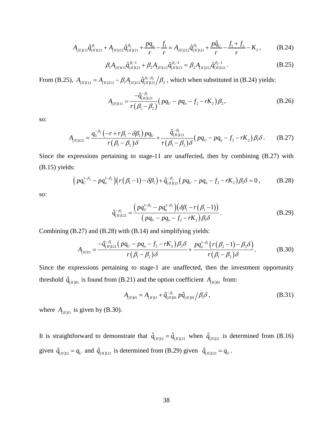$$
A_{(\Pi)111}\hat{q}_{(\Pi)121}^{\beta_1} + A_{(\Pi)112}\hat{q}_{(\Pi)121}^{\beta_2} + \frac{pq_u}{r} - \frac{f_1}{r} = A_{(\Pi)212}\hat{q}_{(\Pi)121}^{\beta_2} + \frac{p\hat{q}_U}{r} - \frac{f_1 + f_2}{r} - K_2,
$$
 (B.24)

$$
\beta_1 A_{(n)111} \hat{q}_{(n)121}^{\beta_1 - 1} + \beta_2 A_{(n)112} \hat{q}_{(n)121}^{\beta_2 - 1} = \beta_2 A_{(n)212} \hat{q}_{(n)121}^{\beta_2 - 1}.
$$
 (B.25)

From (B.25),  $A_{(n)12} = A_{(n)212} - \beta_1 A_{(n)111} \hat{q}_{(n)121}^{\beta_1 \beta_2} / \beta_2$ , which when substituted in (B.24) yields:

$$
A_{(H)111} = \frac{-\hat{q}_{(H)121}^{-\beta_1}}{r(\beta_1 - \beta_2)} \left( pq_U - pq_u - f_2 - rK_2 \right) \beta_2, \tag{B.26}
$$

so:

$$
A_{(n)112} = \frac{q_v^{-\beta_2}(-r+r\beta_1-\delta\beta_1)pq_v}{r(\beta_1-\beta_2)\delta} + \frac{\hat{q}_{(n)121}^{-\beta_2}}{r(\beta_1-\beta_2)\delta}(pq_v - pq_u - f_2 - rK_2)\beta_1\delta. \tag{B.27}
$$

Since the expressions pertaining to stage-11 are unaffected, then by combining (B.27) with (B.15) yields:

$$
(pq_U^{1-\beta_2} - pq_u^{1-\beta_2})(r(\beta_1 - 1) - \delta\beta_1) + \hat{q}_{(H)121}^{-\beta_2} (pq_U - pq_u - f_2 - rK_2)\beta_1\delta = 0, \qquad (B.28)
$$

so:

$$
\hat{q}_{(H)121}^{-\beta_2} = \frac{\left(pq_U^{1-\beta_2} - pq_u^{1-\beta_2}\right)\left(\delta\beta_1 - r\left(\beta_1 - 1\right)\right)}{\left(pq_U - pq_u - f_2 - rK_2\right)\beta_1\delta}.
$$
\n(B.29)

Combining (B.27) and (B.28) with (B.14) and simplifying yields:

$$
A_{(n)11} = \frac{-\hat{q}_{(n)121}^{-\beta_1} (pq_U - pq_u - f_2 - rK_2)\beta_2 \delta}{r(\beta_1 - \beta_2)\delta} + \frac{pq_u^{1-\beta_1} (r(\beta_2 - 1) - \beta_2 \delta)}{r(\beta_1 - \beta_2)\delta}.
$$
 (B.30)

Since the expressions pertaining to stage-1 are unaffected, then the investment opportunity threshold  $\hat{q}_{(II)01}$  is found from (B.21) and the option coefficient  $A_{(II)01}$  from:

$$
A_{(II)01} = A_{(II)11} + \hat{q}_{(II)01}^{-\beta_1} p \hat{q}_{(II)01} / \beta_1 \delta,
$$
 (B.31)

where  $A_{(II)11}$  is given by (B.30).

It is straightforward to demonstrate that  $\hat{q}_{(n)12} = \hat{q}_{(n)121}$  when  $\hat{q}_{(n)12}$  is determined from (B.16) given  $\hat{q}_{(n)12} = q_U$  and  $\hat{q}_{(n)121}$  is determined from (B.29) given  $\hat{q}_{(n)121} = q_U$ .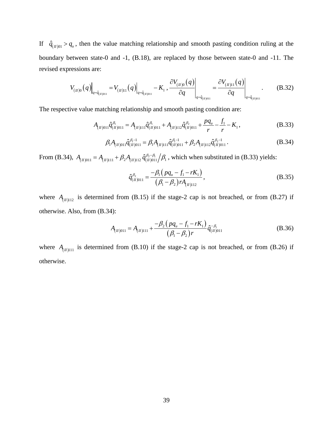If  $\hat{q}_{(n)01} > q_u$ , then the value matching relationship and smooth pasting condition ruling at the boundary between state-0 and -1, (B.18), are replaced by those between state-0 and -11. The revised expressions are:

$$
V_{(II)0}(q)\Big|_{q=\hat{q}_{(II)011}} = V_{(II)11}(q)\Big|_{q=\hat{q}_{(II)011}} - K_1 \Big|, \frac{\partial V_{(II)0}(q)}{\partial q}\Big|_{q=\hat{q}_{(II)011}} = \frac{\partial V_{(II)11}(q)}{\partial q}\Big|_{q=\hat{q}_{(II)011}}.
$$
 (B.32)

The respective value matching relationship and smooth pasting condition are:

$$
A_{(n)011}\hat{q}_{(n)011}^{\beta_1} = A_{(n)111}\hat{q}_{(n)011}^{\beta_1} + A_{(n)112}\hat{q}_{(n)011}^{\beta_2} + \frac{pq_u}{r} - \frac{f_1}{r} - K_1,
$$
\n(B.33)

$$
\beta_1 A_{(H)011} \hat{q}_{(H)011}^{\beta_1 - 1} = \beta_1 A_{(H)111} \hat{q}_{(H)011}^{\beta_1 - 1} + \beta_2 A_{(H)112} \hat{q}_{(H)011}^{\beta_2 - 1}.
$$
 (B.34)

From (B.34),  $A_{(H)011} = A_{(H)111} + \beta_2 A_{(H)12} \hat{q}_{(H)011}^{\beta_2 \beta_1}/\beta_1$ , which when substituted in (B.33) yields:

$$
\hat{q}_{(II)011}^{\beta_2} = \frac{-\beta_1 \left( p q_u - f_1 - r K_1 \right)}{\left( \beta_1 - \beta_2 \right) r A_{(II)112}},
$$
\n(B.35)

where  $A_{(II)112}$  is determined from (B.15) if the stage-2 cap is not breached, or from (B.27) if otherwise. Also, from (B.34):

$$
A_{(n)011} = A_{(n)111} + \frac{-\beta_2 \left( p q_u - f_1 - r K_1 \right)}{(\beta_1 - \beta_2) r} \hat{q}_{(n)011}^{-\beta_1}
$$
(B.36)

where  $A_{(II)111}$  is determined from (B.10) if the stage-2 cap is not breached, or from (B.26) if otherwise.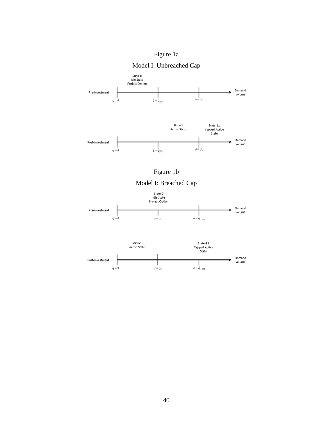







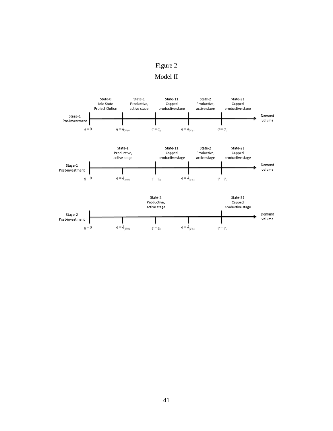## Figure 2